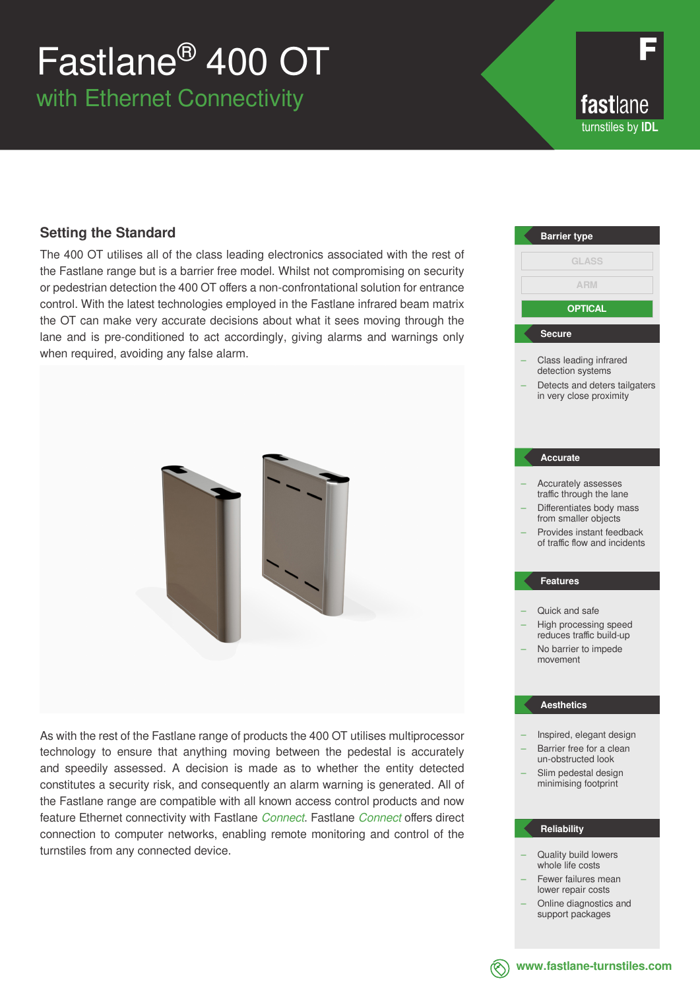## Fastlane® 400 OT with Ethernet Connectivity

### **Setting the Standard**

The 400 OT utilises all of the class leading electronics associated with the rest of the Fastlane range but is a barrier free model. Whilst not compromising on security or pedestrian detection the 400 OT offers a non-confrontational solution for entrance control. With the latest technologies employed in the Fastlane infrared beam matrix the OT can make very accurate decisions about what it sees moving through the lane and is pre-conditioned to act accordingly, giving alarms and warnings only when required, avoiding any false alarm.



As with the rest of the Fastlane range of products the 400 OT utilises multiprocessor technology to ensure that anything moving between the pedestal is accurately and speedily assessed. A decision is made as to whether the entity detected constitutes a security risk, and consequently an alarm warning is generated. All of the Fastlane range are compatible with all known access control products and now feature Ethernet connectivity with Fastlane *Connect*. Fastlane *Connect* offers direct connection to computer networks, enabling remote monitoring and control of the turnstiles from any connected device.



- Fewer failures mean lower repair costs
- Online diagnostics and support packages